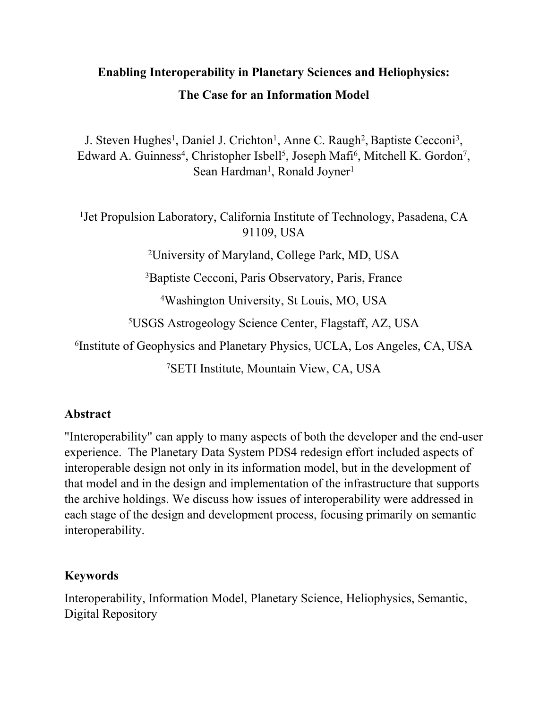# **Enabling Interoperability in Planetary Sciences and Heliophysics: The Case for an Information Model**

J. Steven Hughes<sup>1</sup>, Daniel J. Crichton<sup>1</sup>, Anne C. Raugh<sup>2</sup>, Baptiste Cecconi<sup>3</sup>, Edward A. Guinness<sup>4</sup>, Christopher Isbell<sup>5</sup>, Joseph Mafi<sup>6</sup>, Mitchell K. Gordon<sup>7</sup>, Sean Hardman<sup>1</sup>, Ronald Joyner<sup>1</sup>

<sup>1</sup> Jet Propulsion Laboratory, California Institute of Technology, Pasadena, CA 91109, USA

2University of Maryland, College Park, MD, USA

3Baptiste Cecconi, Paris Observatory, Paris, France

4Washington University, St Louis, MO, USA

5USGS Astrogeology Science Center, Flagstaff, AZ, USA

6Institute of Geophysics and Planetary Physics, UCLA, Los Angeles, CA, USA

7SETI Institute, Mountain View, CA, USA

#### **Abstract**

"Interoperability" can apply to many aspects of both the developer and the end-user experience. The Planetary Data System PDS4 redesign effort included aspects of interoperable design not only in its information model, but in the development of that model and in the design and implementation of the infrastructure that supports the archive holdings. We discuss how issues of interoperability were addressed in each stage of the design and development process, focusing primarily on semantic interoperability.

### **Keywords**

Interoperability, Information Model, Planetary Science, Heliophysics, Semantic, Digital Repository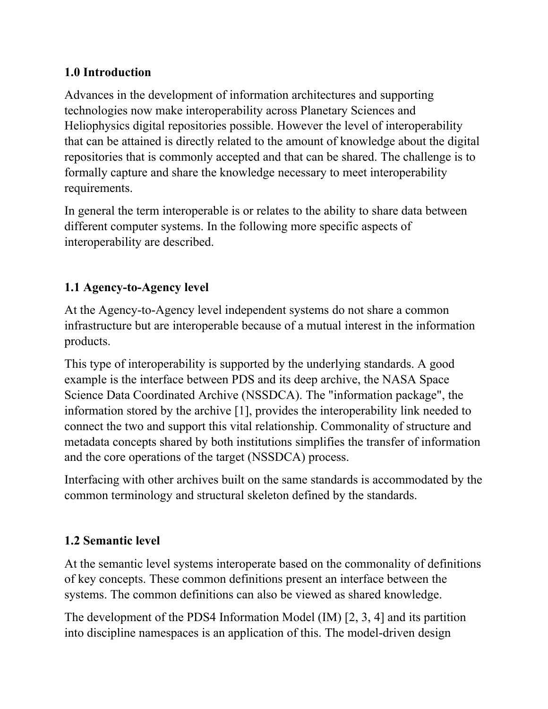### **1.0 Introduction**

Advances in the development of information architectures and supporting technologies now make interoperability across Planetary Sciences and Heliophysics digital repositories possible. However the level of interoperability that can be attained is directly related to the amount of knowledge about the digital repositories that is commonly accepted and that can be shared. The challenge is to formally capture and share the knowledge necessary to meet interoperability requirements.

In general the term interoperable is or relates to the ability to share data between different computer systems. In the following more specific aspects of interoperability are described.

## **1.1 Agency-to-Agency level**

At the Agency-to-Agency level independent systems do not share a common infrastructure but are interoperable because of a mutual interest in the information products.

This type of interoperability is supported by the underlying standards. A good example is the interface between PDS and its deep archive, the NASA Space Science Data Coordinated Archive (NSSDCA). The "information package", the information stored by the archive [1], provides the interoperability link needed to connect the two and support this vital relationship. Commonality of structure and metadata concepts shared by both institutions simplifies the transfer of information and the core operations of the target (NSSDCA) process.

Interfacing with other archives built on the same standards is accommodated by the common terminology and structural skeleton defined by the standards.

### **1.2 Semantic level**

At the semantic level systems interoperate based on the commonality of definitions of key concepts. These common definitions present an interface between the systems. The common definitions can also be viewed as shared knowledge.

The development of the PDS4 Information Model (IM) [2, 3, 4] and its partition into discipline namespaces is an application of this. The model-driven design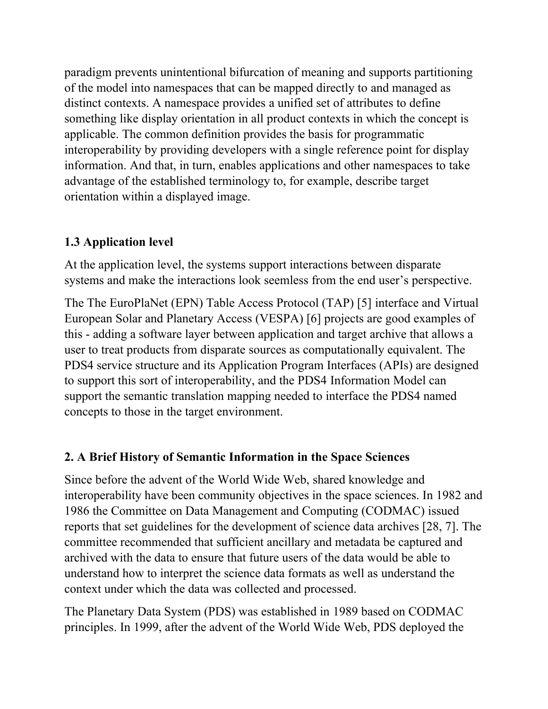paradigm prevents unintentional bifurcation of meaning and supports partitioning of the model into namespaces that can be mapped directly to and managed as distinct contexts. A namespace provides a unified set of attributes to define something like display orientation in all product contexts in which the concept is applicable. The common definition provides the basis for programmatic interoperability by providing developers with a single reference point for display information. And that, in turn, enables applications and other namespaces to take advantage of the established terminology to, for example, describe target orientation within a displayed image.

## **1.3 Application level**

At the application level, the systems support interactions between disparate systems and make the interactions look seemless from the end user's perspective.

The The EuroPlaNet (EPN) Table Access Protocol (TAP) [5] interface and Virtual European Solar and Planetary Access (VESPA) [6] projects are good examples of this - adding a software layer between application and target archive that allows a user to treat products from disparate sources as computationally equivalent. The PDS4 service structure and its Application Program Interfaces (APIs) are designed to support this sort of interoperability, and the PDS4 Information Model can support the semantic translation mapping needed to interface the PDS4 named concepts to those in the target environment.

## **2. A Brief History of Semantic Information in the Space Sciences**

Since before the advent of the World Wide Web, shared knowledge and interoperability have been community objectives in the space sciences. In 1982 and 1986 the Committee on Data Management and Computing (CODMAC) issued reports that set guidelines for the development of science data archives [28, 7]. The committee recommended that sufficient ancillary and metadata be captured and archived with the data to ensure that future users of the data would be able to understand how to interpret the science data formats as well as understand the context under which the data was collected and processed.

The Planetary Data System (PDS) was established in 1989 based on CODMAC principles. In 1999, after the advent of the World Wide Web, PDS deployed the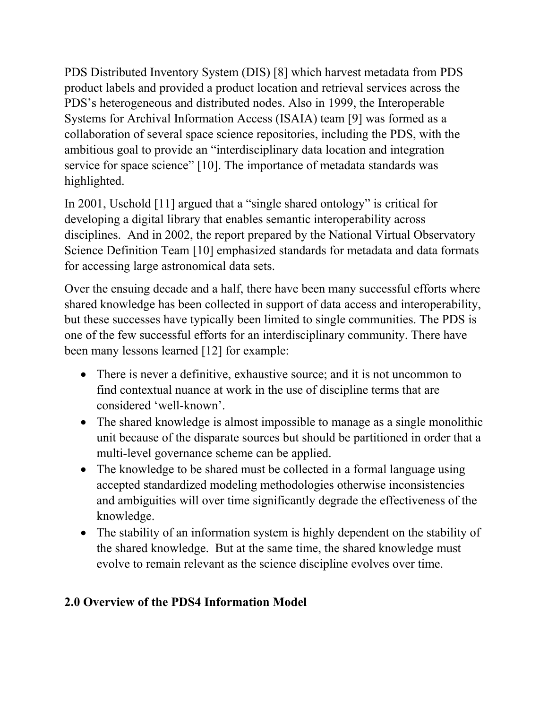PDS Distributed Inventory System (DIS) [8] which harvest metadata from PDS product labels and provided a product location and retrieval services across the PDS's heterogeneous and distributed nodes. Also in 1999, the Interoperable Systems for Archival Information Access (ISAIA) team [9] was formed as a collaboration of several space science repositories, including the PDS, with the ambitious goal to provide an "interdisciplinary data location and integration service for space science" [10]. The importance of metadata standards was highlighted.

In 2001, Uschold [11] argued that a "single shared ontology" is critical for developing a digital library that enables semantic interoperability across disciplines. And in 2002, the report prepared by the National Virtual Observatory Science Definition Team [10] emphasized standards for metadata and data formats for accessing large astronomical data sets.

Over the ensuing decade and a half, there have been many successful efforts where shared knowledge has been collected in support of data access and interoperability, but these successes have typically been limited to single communities. The PDS is one of the few successful efforts for an interdisciplinary community. There have been many lessons learned [12] for example:

- There is never a definitive, exhaustive source; and it is not uncommon to find contextual nuance at work in the use of discipline terms that are considered 'well-known'.
- The shared knowledge is almost impossible to manage as a single monolithic unit because of the disparate sources but should be partitioned in order that a multi-level governance scheme can be applied.
- The knowledge to be shared must be collected in a formal language using accepted standardized modeling methodologies otherwise inconsistencies and ambiguities will over time significantly degrade the effectiveness of the knowledge.
- The stability of an information system is highly dependent on the stability of the shared knowledge. But at the same time, the shared knowledge must evolve to remain relevant as the science discipline evolves over time.

## **2.0 Overview of the PDS4 Information Model**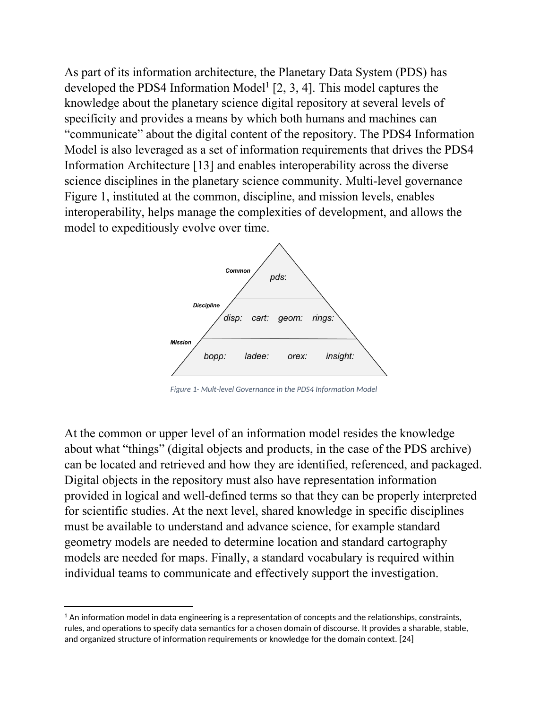As part of its information architecture, the Planetary Data System (PDS) has developed the PDS4 Information Model<sup>1</sup> [2, 3, 4]. This model captures the knowledge about the planetary science digital repository at several levels of specificity and provides a means by which both humans and machines can "communicate" about the digital content of the repository. The PDS4 Information Model is also leveraged as a set of information requirements that drives the PDS4 Information Architecture [13] and enables interoperability across the diverse science disciplines in the planetary science community. Multi-level governance Figure 1, instituted at the common, discipline, and mission levels, enables interoperability, helps manage the complexities of development, and allows the model to expeditiously evolve over time.



*Figure 1- Mult-level Governance in the PDS4 Information Model*

At the common or upper level of an information model resides the knowledge about what "things" (digital objects and products, in the case of the PDS archive) can be located and retrieved and how they are identified, referenced, and packaged. Digital objects in the repository must also have representation information provided in logical and well-defined terms so that they can be properly interpreted for scientific studies. At the next level, shared knowledge in specific disciplines must be available to understand and advance science, for example standard geometry models are needed to determine location and standard cartography models are needed for maps. Finally, a standard vocabulary is required within individual teams to communicate and effectively support the investigation.

 $1$  An information model in data engineering is a representation of concepts and the relationships, constraints, rules, and operations to specify data semantics for a chosen domain of discourse. It provides a sharable, stable, and organized structure of information requirements or knowledge for the domain context. [24]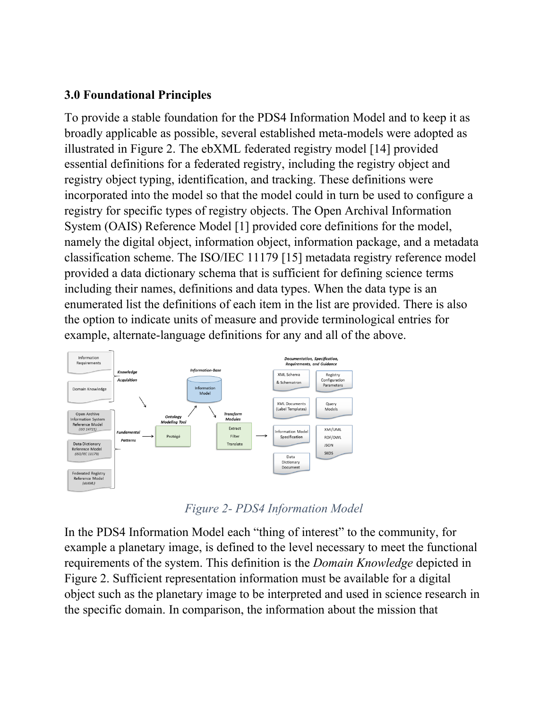#### **3.0 Foundational Principles**

To provide a stable foundation for the PDS4 Information Model and to keep it as broadly applicable as possible, several established meta-models were adopted as illustrated in Figure 2. The ebXML federated registry model [14] provided essential definitions for a federated registry, including the registry object and registry object typing, identification, and tracking. These definitions were incorporated into the model so that the model could in turn be used to configure a registry for specific types of registry objects. The Open Archival Information System (OAIS) Reference Model [1] provided core definitions for the model, namely the digital object, information object, information package, and a metadata classification scheme. The ISO/IEC 11179 [15] metadata registry reference model provided a data dictionary schema that is sufficient for defining science terms including their names, definitions and data types. When the data type is an enumerated list the definitions of each item in the list are provided. There is also the option to indicate units of measure and provide terminological entries for example, alternate-language definitions for any and all of the above.



*Figure 2- PDS4 Information Model*

In the PDS4 Information Model each "thing of interest" to the community, for example a planetary image, is defined to the level necessary to meet the functional requirements of the system. This definition is the *Domain Knowledge* depicted in Figure 2. Sufficient representation information must be available for a digital object such as the planetary image to be interpreted and used in science research in the specific domain. In comparison, the information about the mission that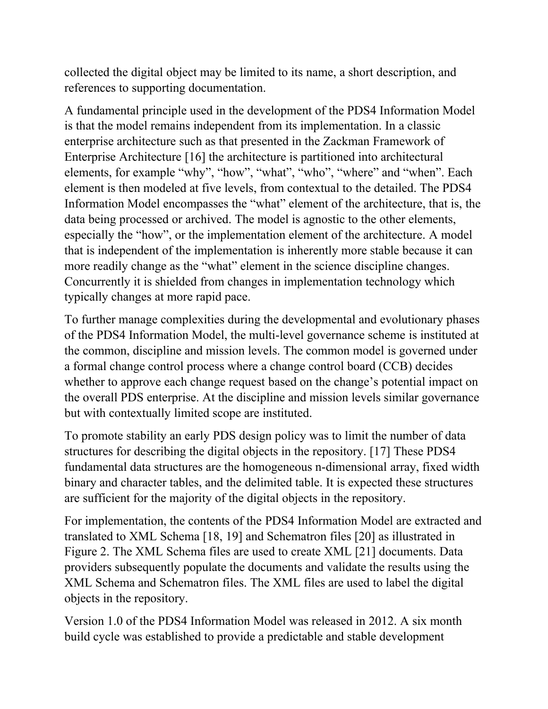collected the digital object may be limited to its name, a short description, and references to supporting documentation.

A fundamental principle used in the development of the PDS4 Information Model is that the model remains independent from its implementation. In a classic enterprise architecture such as that presented in the Zackman Framework of Enterprise Architecture [16] the architecture is partitioned into architectural elements, for example "why", "how", "what", "who", "where" and "when". Each element is then modeled at five levels, from contextual to the detailed. The PDS4 Information Model encompasses the "what" element of the architecture, that is, the data being processed or archived. The model is agnostic to the other elements, especially the "how", or the implementation element of the architecture. A model that is independent of the implementation is inherently more stable because it can more readily change as the "what" element in the science discipline changes. Concurrently it is shielded from changes in implementation technology which typically changes at more rapid pace.

To further manage complexities during the developmental and evolutionary phases of the PDS4 Information Model, the multi-level governance scheme is instituted at the common, discipline and mission levels. The common model is governed under a formal change control process where a change control board (CCB) decides whether to approve each change request based on the change's potential impact on the overall PDS enterprise. At the discipline and mission levels similar governance but with contextually limited scope are instituted.

To promote stability an early PDS design policy was to limit the number of data structures for describing the digital objects in the repository. [17] These PDS4 fundamental data structures are the homogeneous n-dimensional array, fixed width binary and character tables, and the delimited table. It is expected these structures are sufficient for the majority of the digital objects in the repository.

For implementation, the contents of the PDS4 Information Model are extracted and translated to XML Schema [18, 19] and Schematron files [20] as illustrated in Figure 2. The XML Schema files are used to create XML [21] documents. Data providers subsequently populate the documents and validate the results using the XML Schema and Schematron files. The XML files are used to label the digital objects in the repository.

Version 1.0 of the PDS4 Information Model was released in 2012. A six month build cycle was established to provide a predictable and stable development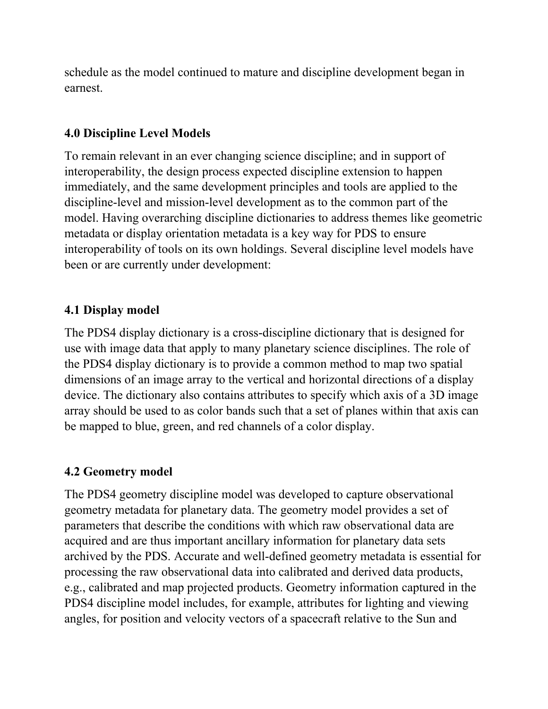schedule as the model continued to mature and discipline development began in earnest.

#### **4.0 Discipline Level Models**

To remain relevant in an ever changing science discipline; and in support of interoperability, the design process expected discipline extension to happen immediately, and the same development principles and tools are applied to the discipline-level and mission-level development as to the common part of the model. Having overarching discipline dictionaries to address themes like geometric metadata or display orientation metadata is a key way for PDS to ensure interoperability of tools on its own holdings. Several discipline level models have been or are currently under development:

#### **4.1 Display model**

The PDS4 display dictionary is a cross-discipline dictionary that is designed for use with image data that apply to many planetary science disciplines. The role of the PDS4 display dictionary is to provide a common method to map two spatial dimensions of an image array to the vertical and horizontal directions of a display device. The dictionary also contains attributes to specify which axis of a 3D image array should be used to as color bands such that a set of planes within that axis can be mapped to blue, green, and red channels of a color display.

#### **4.2 Geometry model**

The PDS4 geometry discipline model was developed to capture observational geometry metadata for planetary data. The geometry model provides a set of parameters that describe the conditions with which raw observational data are acquired and are thus important ancillary information for planetary data sets archived by the PDS. Accurate and well-defined geometry metadata is essential for processing the raw observational data into calibrated and derived data products, e.g., calibrated and map projected products. Geometry information captured in the PDS4 discipline model includes, for example, attributes for lighting and viewing angles, for position and velocity vectors of a spacecraft relative to the Sun and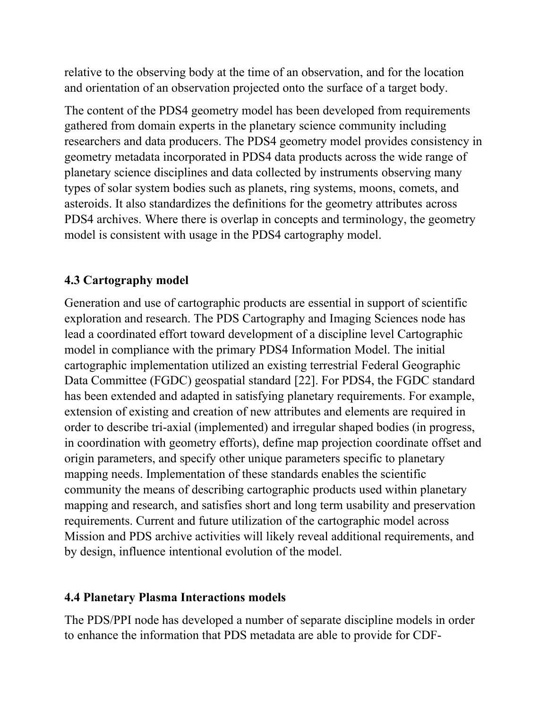relative to the observing body at the time of an observation, and for the location and orientation of an observation projected onto the surface of a target body.

The content of the PDS4 geometry model has been developed from requirements gathered from domain experts in the planetary science community including researchers and data producers. The PDS4 geometry model provides consistency in geometry metadata incorporated in PDS4 data products across the wide range of planetary science disciplines and data collected by instruments observing many types of solar system bodies such as planets, ring systems, moons, comets, and asteroids. It also standardizes the definitions for the geometry attributes across PDS4 archives. Where there is overlap in concepts and terminology, the geometry model is consistent with usage in the PDS4 cartography model.

## **4.3 Cartography model**

Generation and use of cartographic products are essential in support of scientific exploration and research. The PDS Cartography and Imaging Sciences node has lead a coordinated effort toward development of a discipline level Cartographic model in compliance with the primary PDS4 Information Model. The initial cartographic implementation utilized an existing terrestrial Federal Geographic Data Committee (FGDC) geospatial standard [22]. For PDS4, the FGDC standard has been extended and adapted in satisfying planetary requirements. For example, extension of existing and creation of new attributes and elements are required in order to describe tri-axial (implemented) and irregular shaped bodies (in progress, in coordination with geometry efforts), define map projection coordinate offset and origin parameters, and specify other unique parameters specific to planetary mapping needs. Implementation of these standards enables the scientific community the means of describing cartographic products used within planetary mapping and research, and satisfies short and long term usability and preservation requirements. Current and future utilization of the cartographic model across Mission and PDS archive activities will likely reveal additional requirements, and by design, influence intentional evolution of the model.

### **4.4 Planetary Plasma Interactions models**

The PDS/PPI node has developed a number of separate discipline models in order to enhance the information that PDS metadata are able to provide for CDF-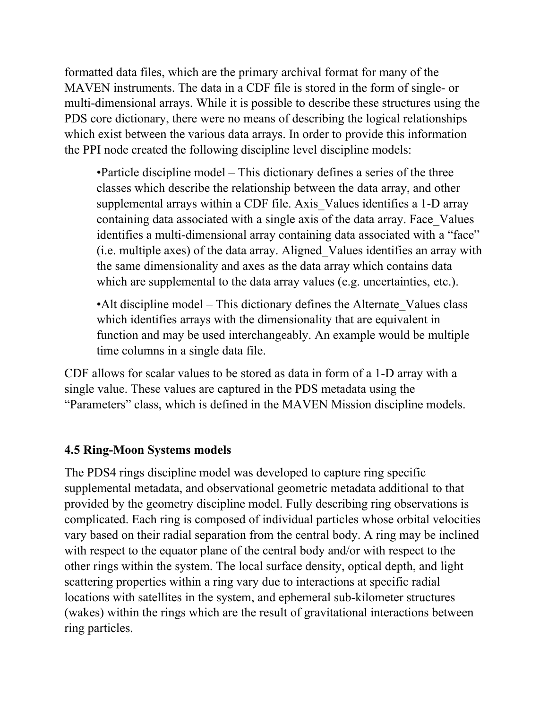formatted data files, which are the primary archival format for many of the MAVEN instruments. The data in a CDF file is stored in the form of single- or multi-dimensional arrays. While it is possible to describe these structures using the PDS core dictionary, there were no means of describing the logical relationships which exist between the various data arrays. In order to provide this information the PPI node created the following discipline level discipline models:

•Particle discipline model – This dictionary defines a series of the three classes which describe the relationship between the data array, and other supplemental arrays within a CDF file. Axis\_Values identifies a 1-D array containing data associated with a single axis of the data array. Face\_Values identifies a multi-dimensional array containing data associated with a "face" (i.e. multiple axes) of the data array. Aligned\_Values identifies an array with the same dimensionality and axes as the data array which contains data which are supplemental to the data array values (e.g. uncertainties, etc.).

•Alt discipline model – This dictionary defines the Alternate Values class which identifies arrays with the dimensionality that are equivalent in function and may be used interchangeably. An example would be multiple time columns in a single data file.

CDF allows for scalar values to be stored as data in form of a 1-D array with a single value. These values are captured in the PDS metadata using the "Parameters" class, which is defined in the MAVEN Mission discipline models.

### **4.5 Ring-Moon Systems models**

The PDS4 rings discipline model was developed to capture ring specific supplemental metadata, and observational geometric metadata additional to that provided by the geometry discipline model. Fully describing ring observations is complicated. Each ring is composed of individual particles whose orbital velocities vary based on their radial separation from the central body. A ring may be inclined with respect to the equator plane of the central body and/or with respect to the other rings within the system. The local surface density, optical depth, and light scattering properties within a ring vary due to interactions at specific radial locations with satellites in the system, and ephemeral sub-kilometer structures (wakes) within the rings which are the result of gravitational interactions between ring particles.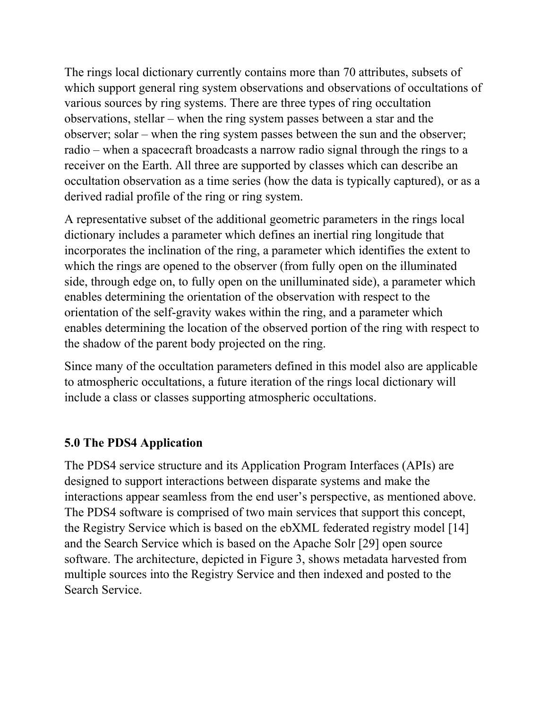The rings local dictionary currently contains more than 70 attributes, subsets of which support general ring system observations and observations of occultations of various sources by ring systems. There are three types of ring occultation observations, stellar – when the ring system passes between a star and the observer; solar – when the ring system passes between the sun and the observer; radio – when a spacecraft broadcasts a narrow radio signal through the rings to a receiver on the Earth. All three are supported by classes which can describe an occultation observation as a time series (how the data is typically captured), or as a derived radial profile of the ring or ring system.

A representative subset of the additional geometric parameters in the rings local dictionary includes a parameter which defines an inertial ring longitude that incorporates the inclination of the ring, a parameter which identifies the extent to which the rings are opened to the observer (from fully open on the illuminated side, through edge on, to fully open on the unilluminated side), a parameter which enables determining the orientation of the observation with respect to the orientation of the self-gravity wakes within the ring, and a parameter which enables determining the location of the observed portion of the ring with respect to the shadow of the parent body projected on the ring.

Since many of the occultation parameters defined in this model also are applicable to atmospheric occultations, a future iteration of the rings local dictionary will include a class or classes supporting atmospheric occultations.

### **5.0 The PDS4 Application**

The PDS4 service structure and its Application Program Interfaces (APIs) are designed to support interactions between disparate systems and make the interactions appear seamless from the end user's perspective, as mentioned above. The PDS4 software is comprised of two main services that support this concept, the Registry Service which is based on the ebXML federated registry model [14] and the Search Service which is based on the Apache Solr [29] open source software. The architecture, depicted in Figure 3, shows metadata harvested from multiple sources into the Registry Service and then indexed and posted to the Search Service.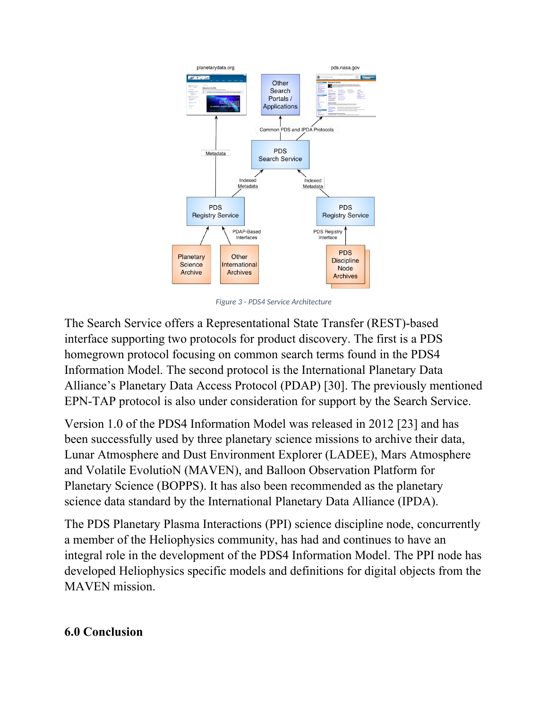

*Figure 3 - PDS4 Service Architecture*

The Search Service offers a Representational State Transfer (REST)-based interface supporting two protocols for product discovery. The first is a PDS homegrown protocol focusing on common search terms found in the PDS4 Information Model. The second protocol is the International Planetary Data Alliance's Planetary Data Access Protocol (PDAP) [30]. The previously mentioned EPN-TAP protocol is also under consideration for support by the Search Service.

Version 1.0 of the PDS4 Information Model was released in 2012 [23] and has been successfully used by three planetary science missions to archive their data, Lunar Atmosphere and Dust Environment Explorer (LADEE), Mars Atmosphere and Volatile EvolutioN (MAVEN), and Balloon Observation Platform for Planetary Science (BOPPS). It has also been recommended as the planetary science data standard by the International Planetary Data Alliance (IPDA).

The PDS Planetary Plasma Interactions (PPI) science discipline node, concurrently a member of the Heliophysics community, has had and continues to have an integral role in the development of the PDS4 Information Model. The PPI node has developed Heliophysics specific models and definitions for digital objects from the MAVEN mission.

#### **6.0 Conclusion**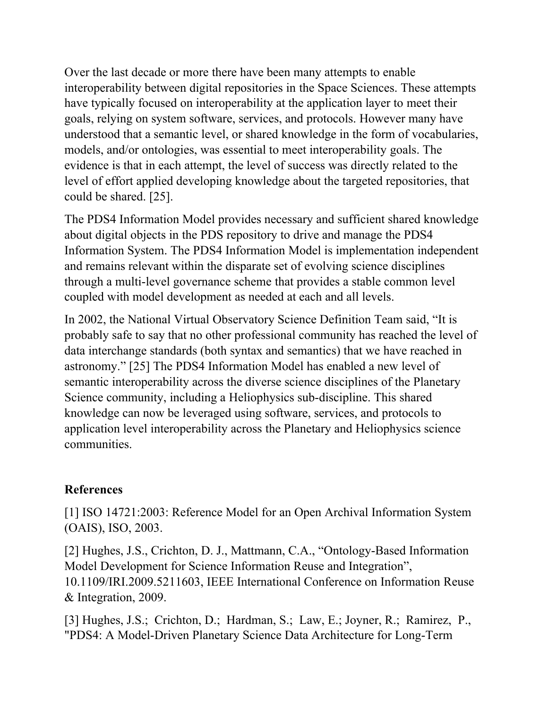Over the last decade or more there have been many attempts to enable interoperability between digital repositories in the Space Sciences. These attempts have typically focused on interoperability at the application layer to meet their goals, relying on system software, services, and protocols. However many have understood that a semantic level, or shared knowledge in the form of vocabularies, models, and/or ontologies, was essential to meet interoperability goals. The evidence is that in each attempt, the level of success was directly related to the level of effort applied developing knowledge about the targeted repositories, that could be shared. [25].

The PDS4 Information Model provides necessary and sufficient shared knowledge about digital objects in the PDS repository to drive and manage the PDS4 Information System. The PDS4 Information Model is implementation independent and remains relevant within the disparate set of evolving science disciplines through a multi-level governance scheme that provides a stable common level coupled with model development as needed at each and all levels.

In 2002, the National Virtual Observatory Science Definition Team said, "It is probably safe to say that no other professional community has reached the level of data interchange standards (both syntax and semantics) that we have reached in astronomy." [25] The PDS4 Information Model has enabled a new level of semantic interoperability across the diverse science disciplines of the Planetary Science community, including a Heliophysics sub-discipline. This shared knowledge can now be leveraged using software, services, and protocols to application level interoperability across the Planetary and Heliophysics science communities.

### **References**

[1] ISO 14721:2003: Reference Model for an Open Archival Information System (OAIS), ISO, 2003.

[2] Hughes, J.S., Crichton, D. J., Mattmann, C.A., "Ontology-Based Information Model Development for Science Information Reuse and Integration", 10.1109/IRI.2009.5211603, IEEE International Conference on Information Reuse & Integration, 2009.

[3] Hughes, J.S.; Crichton, D.; Hardman, S.; Law, E.; Joyner, R.; Ramirez, P., "PDS4: A Model-Driven Planetary Science Data Architecture for Long-Term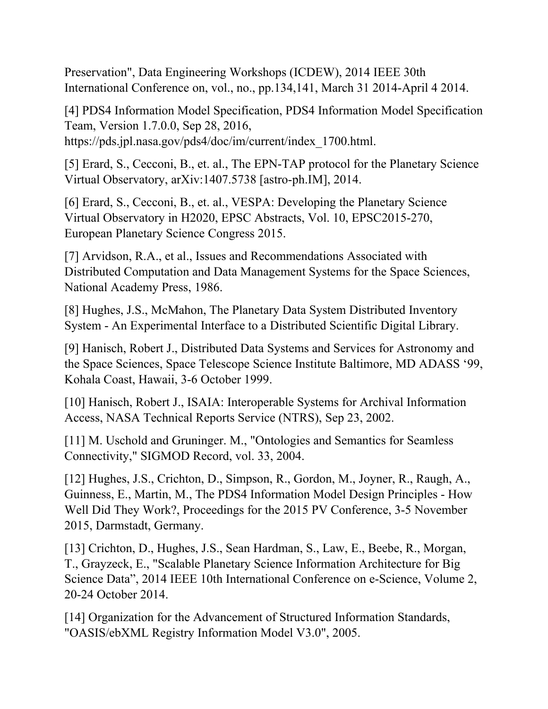Preservation", Data Engineering Workshops (ICDEW), 2014 IEEE 30th International Conference on, vol., no., pp.134,141, March 31 2014-April 4 2014.

[4] PDS4 Information Model Specification, PDS4 Information Model Specification Team, Version 1.7.0.0, Sep 28, 2016, https://pds.jpl.nasa.gov/pds4/doc/im/current/index\_1700.html.

[5] Erard, S., Cecconi, B., et. al., The EPN-TAP protocol for the Planetary Science Virtual Observatory, arXiv:1407.5738 [astro-ph.IM], 2014.

[6] Erard, S., Cecconi, B., et. al., VESPA: Developing the Planetary Science Virtual Observatory in H2020, EPSC Abstracts, Vol. 10, EPSC2015-270, European Planetary Science Congress 2015.

[7] Arvidson, R.A., et al., Issues and Recommendations Associated with Distributed Computation and Data Management Systems for the Space Sciences, National Academy Press, 1986.

[8] Hughes, J.S., McMahon, The Planetary Data System Distributed Inventory System - An Experimental Interface to a Distributed Scientific Digital Library.

[9] Hanisch, Robert J., Distributed Data Systems and Services for Astronomy and the Space Sciences, Space Telescope Science Institute Baltimore, MD ADASS '99, Kohala Coast, Hawaii, 3-6 October 1999.

[10] Hanisch, Robert J., ISAIA: Interoperable Systems for Archival Information Access, NASA Technical Reports Service (NTRS), Sep 23, 2002.

[11] M. Uschold and Gruninger. M., "Ontologies and Semantics for Seamless Connectivity," SIGMOD Record, vol. 33, 2004.

[12] Hughes, J.S., Crichton, D., Simpson, R., Gordon, M., Joyner, R., Raugh, A., Guinness, E., Martin, M., The PDS4 Information Model Design Principles - How Well Did They Work?, Proceedings for the 2015 PV Conference, 3-5 November 2015, Darmstadt, Germany.

[13] Crichton, D., Hughes, J.S., Sean Hardman, S., Law, E., Beebe, R., Morgan, T., Grayzeck, E., "Scalable Planetary Science Information Architecture for Big Science Data", 2014 IEEE 10th International Conference on e-Science, Volume 2, 20-24 October 2014.

[14] Organization for the Advancement of Structured Information Standards, "OASIS/ebXML Registry Information Model V3.0", 2005.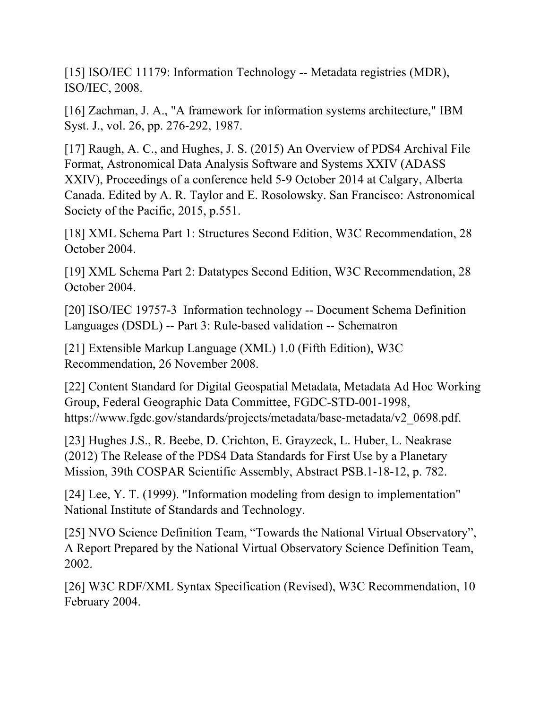[15] ISO/IEC 11179: Information Technology -- Metadata registries (MDR), ISO/IEC, 2008.

[16] Zachman, J. A., "A framework for information systems architecture," IBM Syst. J., vol. 26, pp. 276-292, 1987.

[17] Raugh, A. C., and Hughes, J. S. (2015) An Overview of PDS4 Archival File Format, Astronomical Data Analysis Software and Systems XXIV (ADASS XXIV), Proceedings of a conference held 5-9 October 2014 at Calgary, Alberta Canada. Edited by A. R. Taylor and E. Rosolowsky. San Francisco: Astronomical Society of the Pacific, 2015, p.551.

[18] XML Schema Part 1: Structures Second Edition, W3C Recommendation, 28 October 2004.

[19] XML Schema Part 2: Datatypes Second Edition, W3C Recommendation, 28 October 2004.

[20] ISO/IEC 19757-3 Information technology -- Document Schema Definition Languages (DSDL) -- Part 3: Rule-based validation -- Schematron

[21] Extensible Markup Language (XML) 1.0 (Fifth Edition), W3C Recommendation, 26 November 2008.

[22] Content Standard for Digital Geospatial Metadata, Metadata Ad Hoc Working Group, Federal Geographic Data Committee, FGDC-STD-001-1998, https://www.fgdc.gov/standards/projects/metadata/base-metadata/v2\_0698.pdf.

[23] Hughes J.S., R. Beebe, D. Crichton, E. Grayzeck, L. Huber, L. Neakrase (2012) The Release of the PDS4 Data Standards for First Use by a Planetary Mission, 39th COSPAR Scientific Assembly, Abstract PSB.1-18-12, p. 782.

[24] Lee, Y. T. (1999). "Information modeling from design to implementation" National Institute of Standards and Technology.

[25] NVO Science Definition Team, "Towards the National Virtual Observatory", A Report Prepared by the National Virtual Observatory Science Definition Team, 2002.

[26] W3C RDF/XML Syntax Specification (Revised), W3C Recommendation, 10 February 2004.